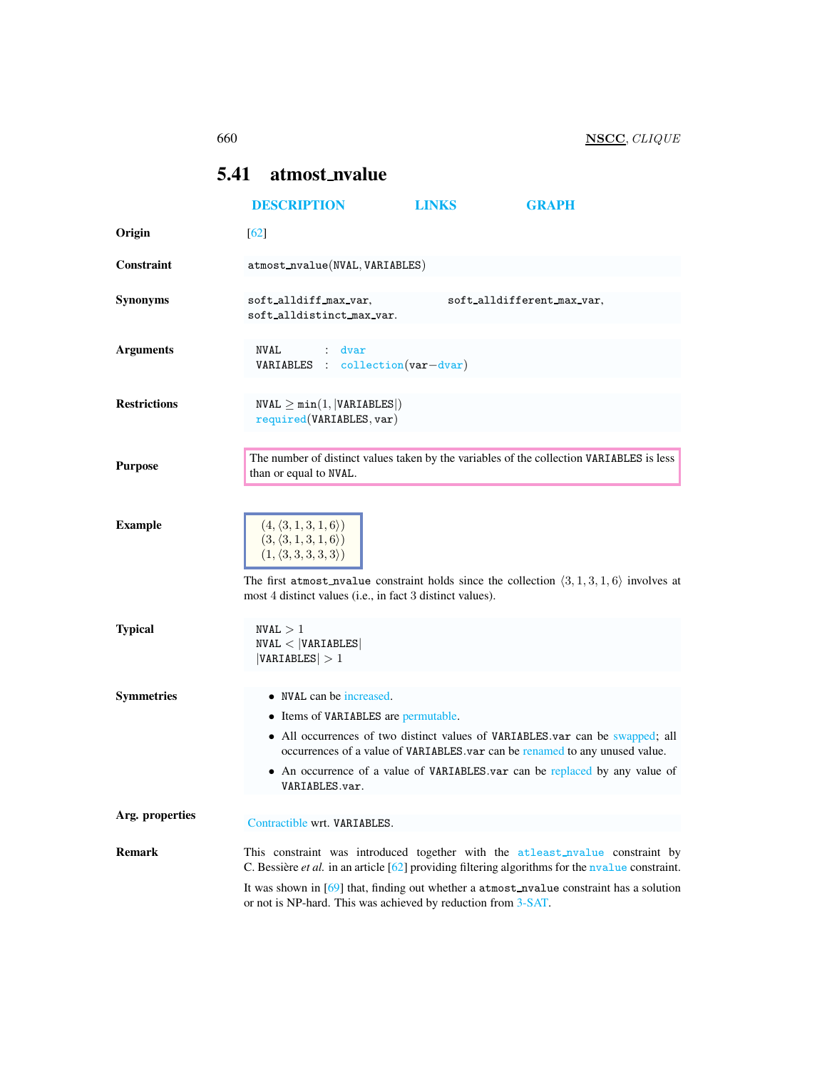# <span id="page-0-0"></span>5.41 atmost nvalue

|                     | <b>DESCRIPTION</b>                                                                                                                                                                                                                                                                                                                                         | <b>LINKS</b> | <b>GRAPH</b>               |  |
|---------------------|------------------------------------------------------------------------------------------------------------------------------------------------------------------------------------------------------------------------------------------------------------------------------------------------------------------------------------------------------------|--------------|----------------------------|--|
| Origin              | $\lceil 62 \rceil$                                                                                                                                                                                                                                                                                                                                         |              |                            |  |
| Constraint          | atmost_nvalue(NVAL, VARIABLES)                                                                                                                                                                                                                                                                                                                             |              |                            |  |
| <b>Synonyms</b>     | soft_alldiff_max_var,<br>soft_alldistinct_max_var.                                                                                                                                                                                                                                                                                                         |              | soft_alldifferent_max_var. |  |
| <b>Arguments</b>    | <b>NVAL</b><br>$:$ dvar<br>$VARIABLES$ : collection(var-dvar)                                                                                                                                                                                                                                                                                              |              |                            |  |
| <b>Restrictions</b> | $NVAL \geq min(1,  VARIABLES )$<br>required(VARIABLES, var)                                                                                                                                                                                                                                                                                                |              |                            |  |
| <b>Purpose</b>      | The number of distinct values taken by the variables of the collection VARIABLES is less<br>than or equal to NVAL.                                                                                                                                                                                                                                         |              |                            |  |
| <b>Example</b>      | $(4, \langle 3, 1, 3, 1, 6 \rangle)$<br>$(3, \langle 3, 1, 3, 1, 6 \rangle)$<br>$(1, \langle 3, 3, 3, 3, 3 \rangle)$<br>The first atmost_nvalue constraint holds since the collection $\langle 3, 1, 3, 1, 6 \rangle$ involves at<br>most 4 distinct values (i.e., in fact 3 distinct values).                                                             |              |                            |  |
| <b>Typical</b>      | NVAL > 1<br>NVAL <  VARIABLES <br> VARIABLES  > 1                                                                                                                                                                                                                                                                                                          |              |                            |  |
| <b>Symmetries</b>   | • NVAL can be increased.<br>• Items of VARIABLES are permutable.<br>• All occurrences of two distinct values of VARIABLES.var can be swapped; all<br>occurrences of a value of VARIABLES.var can be renamed to any unused value.<br>• An occurrence of a value of VARIABLES.var can be replaced by any value of<br>VARIABLES.var.                          |              |                            |  |
| Arg. properties     | Contractible wrt. VARIABLES.                                                                                                                                                                                                                                                                                                                               |              |                            |  |
| <b>Remark</b>       | This constraint was introduced together with the atleast_nvalue constraint by<br>C. Bessière <i>et al.</i> in an article $[62]$ providing filtering algorithms for the nyalue constraint.<br>It was shown in $[69]$ that, finding out whether a $atmost_nvalue$ constraint has a solution<br>or not is NP-hard. This was achieved by reduction from 3-SAT. |              |                            |  |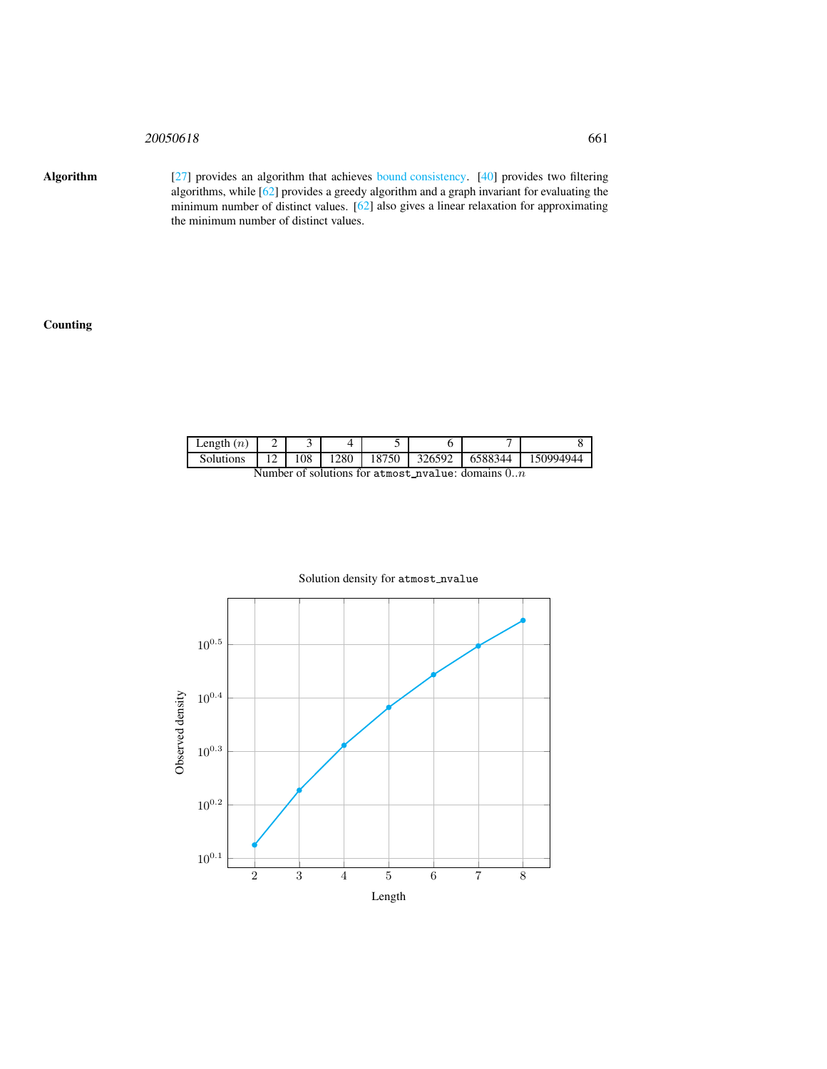# 20050618 661

Algorithm [27] provides an algorithm that achieves bound consistency. [40] provides two filtering algorithms, while [62] provides a greedy algorithm and a graph invariant for evaluating the minimum number of distinct values. [62] also gives a linear relaxation for approximating the minimum number of distinct values.

# Counting

| $\text{Length}(n)$ |   |     |     |      |        |         |           |
|--------------------|---|-----|-----|------|--------|---------|-----------|
| Solutions          | ∸ | 108 | 280 | 8750 | 326592 | 6588344 | 150994944 |

Number of solutions for atmost nvalue: domains  $0..n$ 



# Solution density for atmost\_nvalue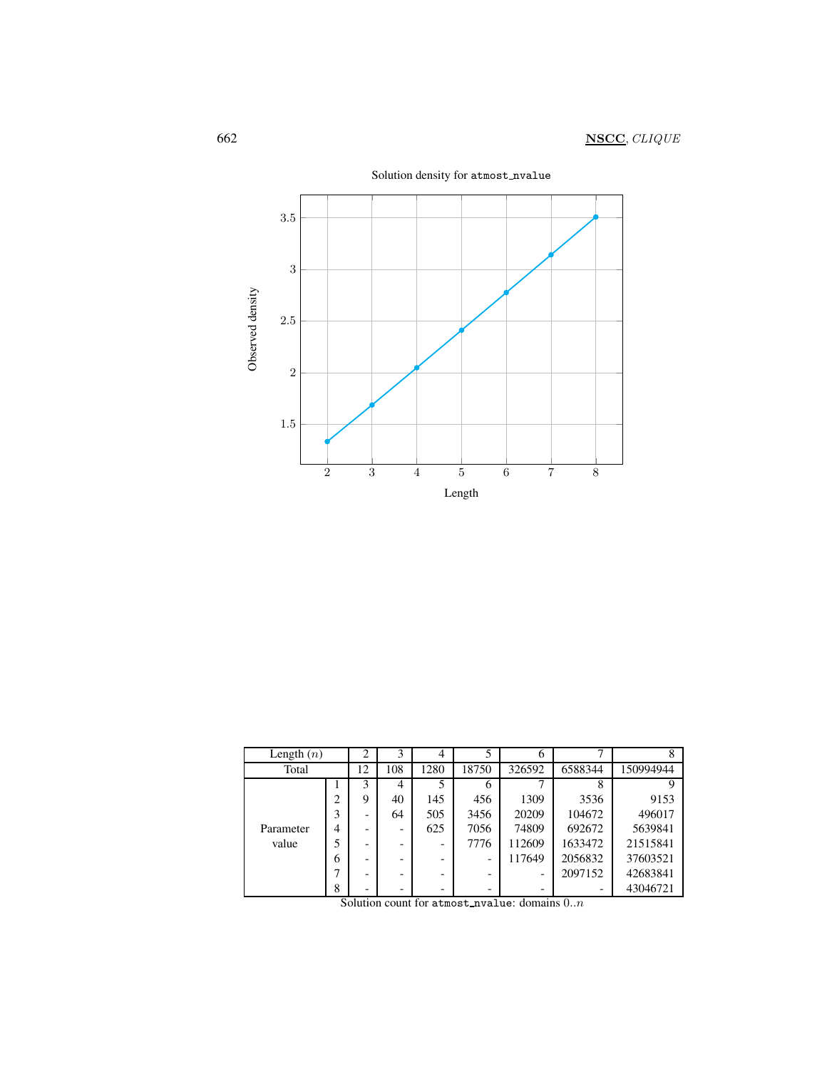

| Length $(n)$ |                | 2                        | 3   | 4    |       | 6      | −       |           |
|--------------|----------------|--------------------------|-----|------|-------|--------|---------|-----------|
| Total        |                | 12                       | 108 | 1280 | 18750 | 326592 | 6588344 | 150994944 |
|              |                | 3                        | 4   |      | 6     |        | 8       | 9         |
|              | ↑              | 9                        | 40  | 145  | 456   | 1309   | 3536    | 9153      |
|              | 3              | -                        | 64  | 505  | 3456  | 20209  | 104672  | 496017    |
| Parameter    | $\overline{4}$ |                          |     | 625  | 7056  | 74809  | 692672  | 5639841   |
| value        |                | $\overline{\phantom{a}}$ |     |      | 7776  | 112609 | 1633472 | 21515841  |
|              | 6              |                          |     |      |       | 117649 | 2056832 | 37603521  |
|              |                |                          |     |      |       |        | 2097152 | 42683841  |
|              | 8              | -                        | -   |      |       |        |         | 43046721  |

Solution count for atmost nvalue: domains  $0.n$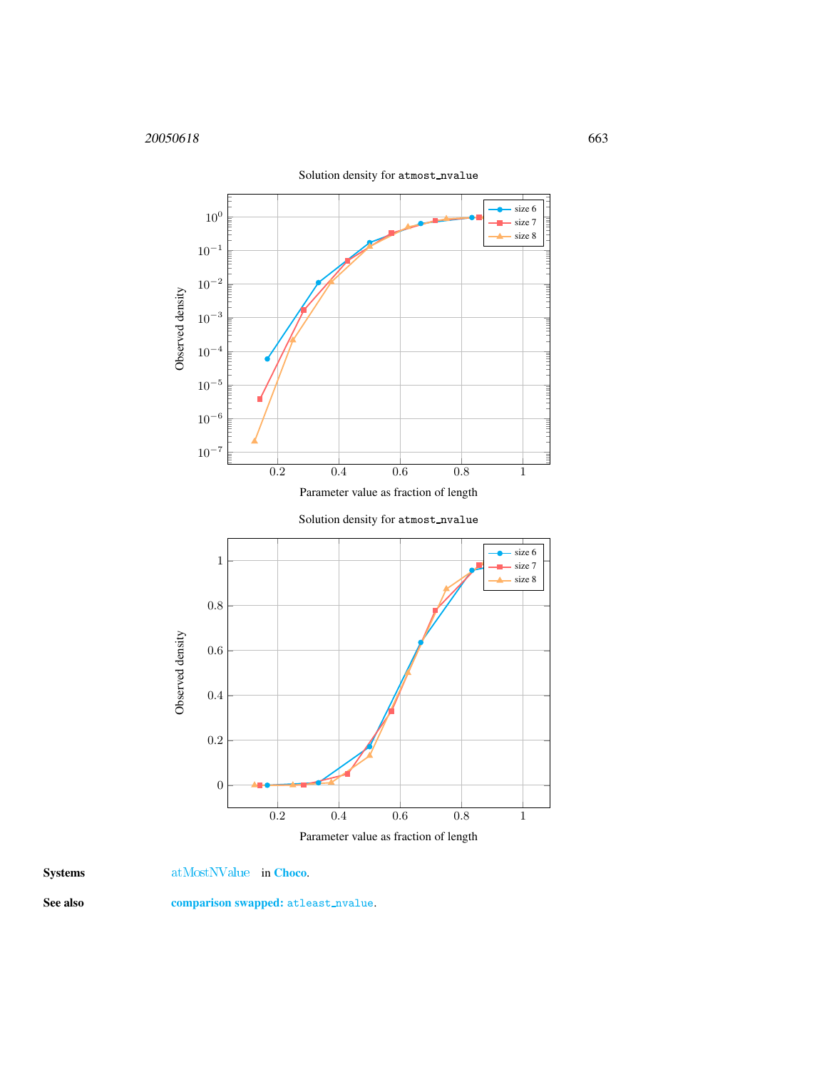

Systems [atMostNValue](http://www.emn.fr/z-info/choco-solver/tex/documentation/choco-doc.pdf) in [Choco](http://choco.emn.fr/).

<span id="page-3-0"></span>

See also comparison swapped: atleast\_nvalue.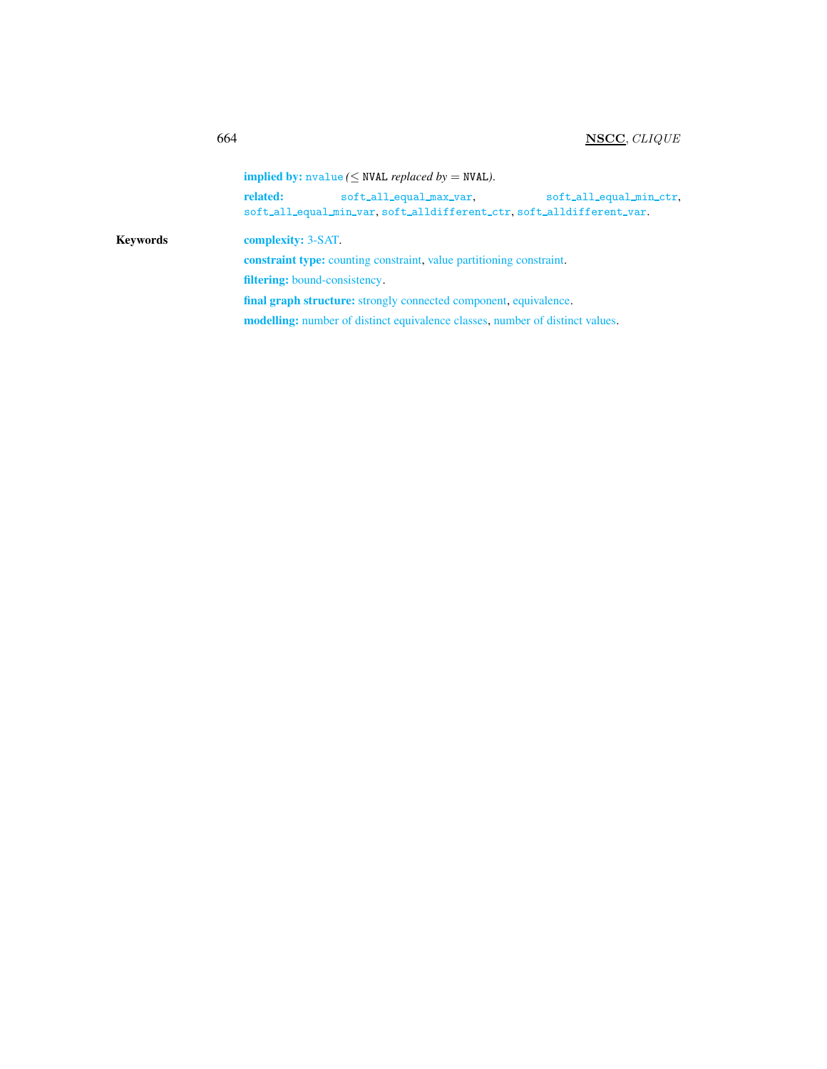$implied by: \text{nvalue} (\leq \text{NVAL}$  *replaced by* = NVAL).

related: soft\_all\_equal\_max\_var, soft\_all\_equal\_min\_ctr, soft all equal min var, soft alldifferent ctr, soft alldifferent var.

# Keywords complexity: 3-SAT.

constraint type: counting constraint, value partitioning constraint.

filtering: bound-consistency.

final graph structure: strongly connected component, equivalence.

modelling: number of distinct equivalence classes, number of distinct values.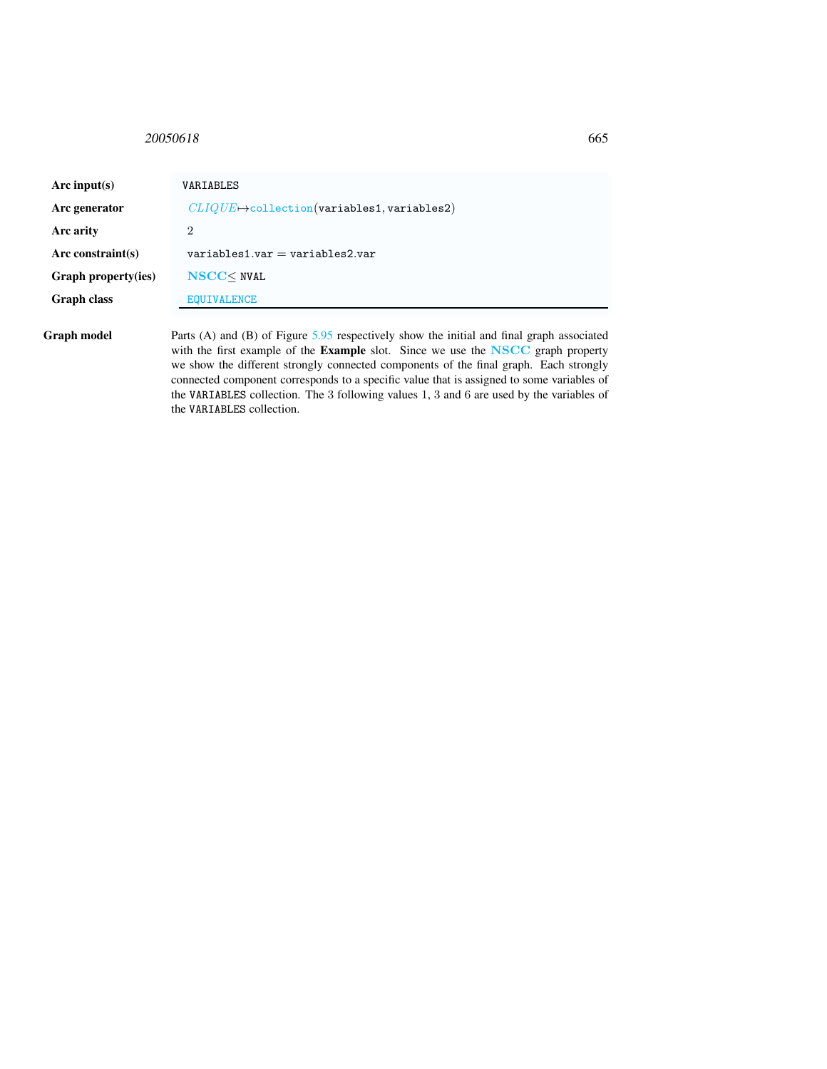# <span id="page-5-0"></span>20050618 665

| Arc input(s)        | VARIABLES                                                                                                                                                                                     |
|---------------------|-----------------------------------------------------------------------------------------------------------------------------------------------------------------------------------------------|
| Arc generator       | $CLIQUE \rightarrow$ collection(variables1, variables2)                                                                                                                                       |
| Arc arity           | 2                                                                                                                                                                                             |
| $Arc$ constraint(s) | $variable$ s1.var = variables2.var                                                                                                                                                            |
| Graph property(ies) | $NSCC$ NVAL                                                                                                                                                                                   |
| <b>Graph class</b>  | <b>EQUIVALENCE</b>                                                                                                                                                                            |
| Graph model         | Parts (A) and (B) of Figure $5.95$ respectively show the initial and final graph associated<br>with the first example of the <b>Example</b> slot. Since we use the <b>NSCC</b> graph property |

with the first example of the Example slot. Since we use the NSCC graph property we show the different strongly connected components of the final graph. Each strongly connected component corresponds to a specific value that is assigned to some variables of the VARIABLES collection. The 3 following values 1, 3 and 6 are used by the variables of the VARIABLES collection.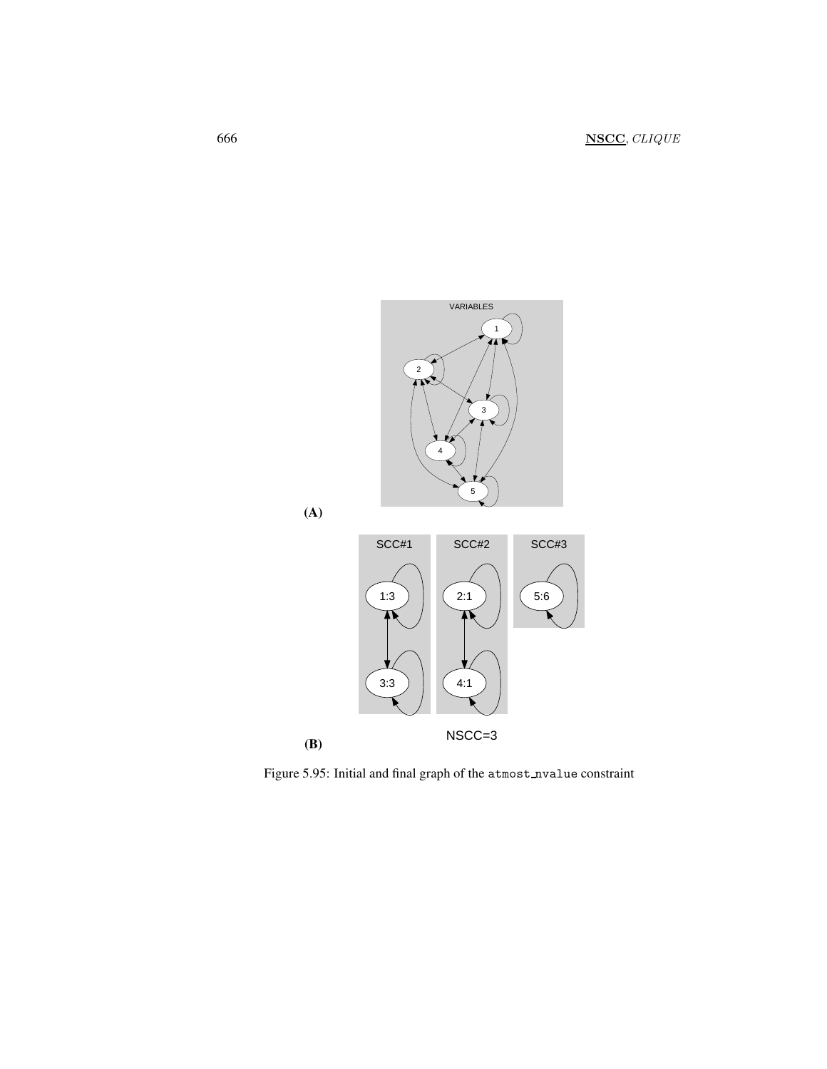





<span id="page-6-0"></span>Figure 5.95: Initial and final graph of the atmost\_nvalue constraint